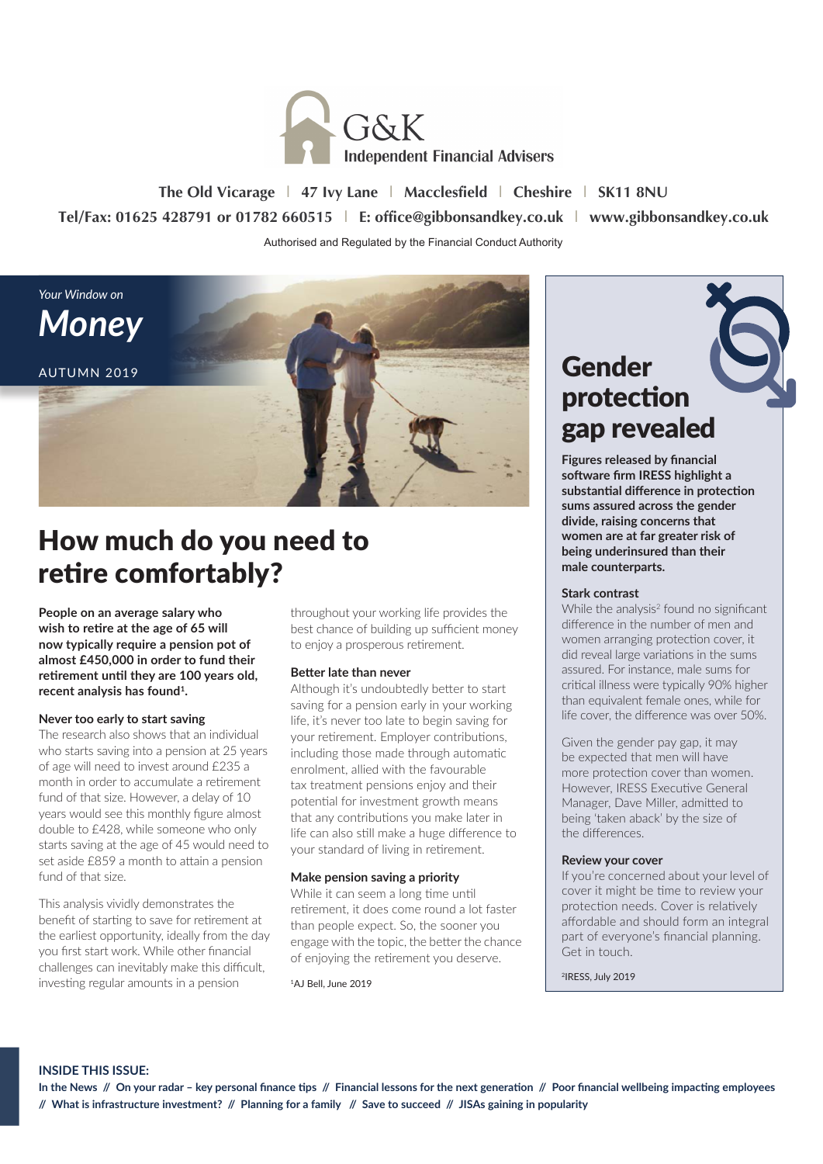

**The Old Vicarage | 47 Ivy Lane | Macclesfield | Cheshire | SK11 8NU Tel/Fax: 01625 428791 or 01782 660515 | E: office@gibbonsandkey.co.uk | www.gibbonsandkey.co.uk** Authorised and Regulated by the Financial Conduct Authority



## How much do you need to retire comfortably?

**People on an average salary who wish to retire at the age of 65 will now typically require a pension pot of almost £450,000 in order to fund their retirement until they are 100 years old, recent analysis has found1.**

#### **Never too early to start saving**

The research also shows that an individual who starts saving into a pension at 25 years of age will need to invest around £235 a month in order to accumulate a retirement fund of that size. However, a delay of 10 years would see this monthly figure almost double to £428, while someone who only starts saving at the age of 45 would need to set aside £859 a month to attain a pension fund of that size.

This analysis vividly demonstrates the benefit of starting to save for retirement at the earliest opportunity, ideally from the day you first start work. While other financial challenges can inevitably make this difficult, investing regular amounts in a pension

throughout your working life provides the best chance of building up sufficient money to enjoy a prosperous retirement.

#### **Better late than never**

Although it's undoubtedly better to start saving for a pension early in your working life, it's never too late to begin saving for your retirement. Employer contributions, including those made through automatic enrolment, allied with the favourable tax treatment pensions enjoy and their potential for investment growth means that any contributions you make later in life can also still make a huge difference to your standard of living in retirement.

#### **Make pension saving a priority**

While it can seem a long time until retirement, it does come round a lot faster than people expect. So, the sooner you engage with the topic, the better the chance of enjoying the retirement you deserve.

1AJ Bell, June 2019

## Gender protection gap revealed

**Figures released by financial software firm IRESS highlight a substantial difference in protection sums assured across the gender divide, raising concerns that women are at far greater risk of being underinsured than their male counterparts.** 

#### **Stark contrast**

While the analysis<sup>2</sup> found no significant difference in the number of men and women arranging protection cover, it did reveal large variations in the sums assured. For instance, male sums for critical illness were typically 90% higher than equivalent female ones, while for life cover, the difference was over 50%.

Given the gender pay gap, it may be expected that men will have more protection cover than women. However, IRESS Executive General Manager, Dave Miller, admitted to being 'taken aback' by the size of the differences.

#### **Review your cover**

If you're concerned about your level of cover it might be time to review your protection needs. Cover is relatively affordable and should form an integral part of everyone's financial planning. Get in touch.

2IRESS, July 2019

#### **INSIDE THIS ISSUE:**

**In the News // On your radar – key personal finance tips // Financial lessons for the next generation // Poor financial wellbeing impacting employees // What is infrastructure investment? // Planning for a family // Save to succeed // JISAs gaining in popularity**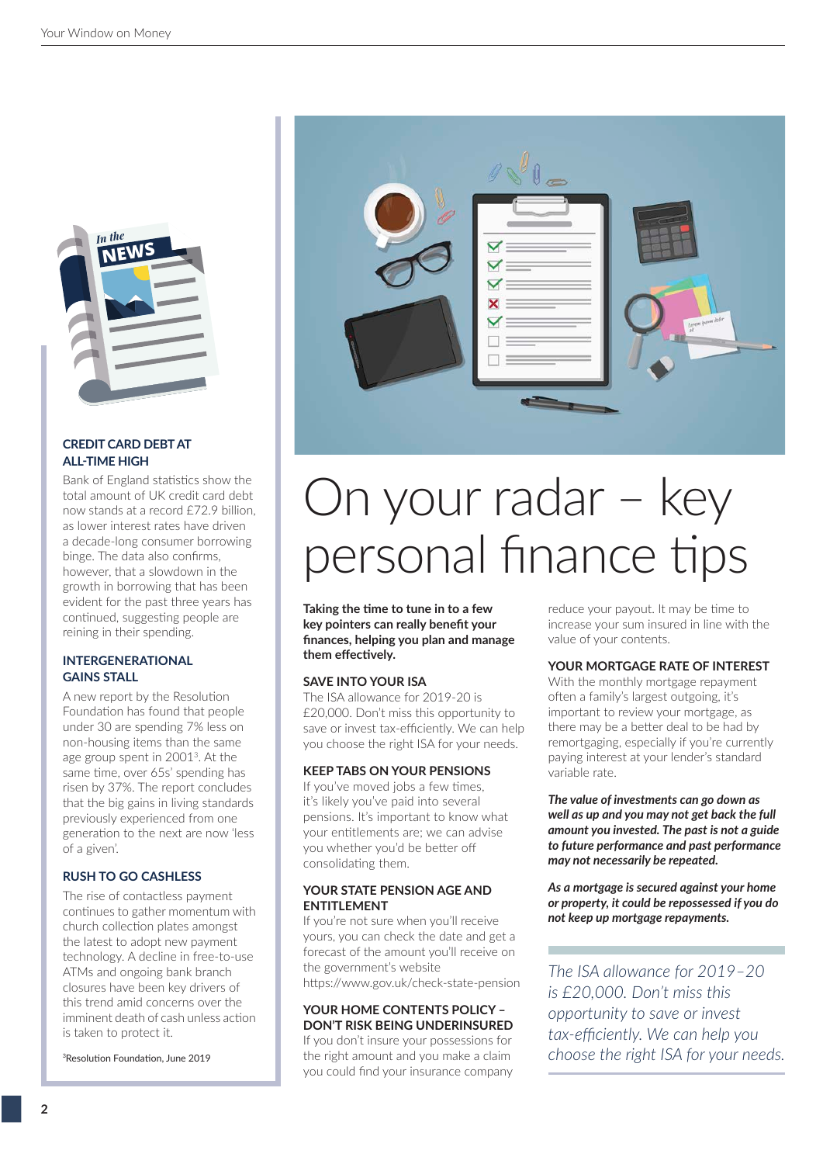

#### **CREDIT CARD DEBT AT ALL-TIME HIGH**

Bank of England statistics show the total amount of UK credit card debt now stands at a record £72.9 billion as lower interest rates have driven a decade-long consumer borrowing binge. The data also confirms, however, that a slowdown in the growth in borrowing that has been evident for the past three years has continued, suggesting people are reining in their spending.

#### **INTERGENERATIONAL GAINS STALL**

A new report by the Resolution Foundation has found that people under 30 are spending 7% less on non-housing items than the same age group spent in 20013. At the same time, over 65s' spending has risen by 37%. The report concludes that the big gains in living standards previously experienced from one generation to the next are now 'less of a given'.

#### **RUSH TO GO CASHLESS**

The rise of contactless payment continues to gather momentum with church collection plates amongst the latest to adopt new payment technology. A decline in free-to-use ATMs and ongoing bank branch closures have been key drivers of this trend amid concerns over the imminent death of cash unless action is taken to protect it.

<sup>3</sup>Resolution Foundation, June 2019



## On your radar – key personal finance tips

**Taking the time to tune in to a few key pointers can really benefit your finances, helping you plan and manage them effectively.**

#### **SAVE INTO YOUR ISA**

The ISA allowance for 2019-20 is £20,000. Don't miss this opportunity to save or invest tax-efficiently. We can help you choose the right ISA for your needs.

#### **KEEP TABS ON YOUR PENSIONS**

If you've moved jobs a few times, it's likely you've paid into several pensions. It's important to know what your entitlements are; we can advise you whether you'd be better off consolidating them.

#### **YOUR STATE PENSION AGE AND ENTITLEMENT**

If you're not sure when you'll receive yours, you can check the date and get a forecast of the amount you'll receive on the government's website https://www.gov.uk/check-state-pension

#### **YOUR HOME CONTENTS POLICY – DON'T RISK BEING UNDERINSURED**

If you don't insure your possessions for the right amount and you make a claim you could find your insurance company

reduce your payout. It may be time to increase your sum insured in line with the value of your contents.

#### **YOUR MORTGAGE RATE OF INTEREST**

With the monthly mortgage repayment often a family's largest outgoing, it's important to review your mortgage, as there may be a better deal to be had by remortgaging, especially if you're currently paying interest at your lender's standard variable rate.

*The value of investments can go down as well as up and you may not get back the full amount you invested. The past is not a guide to future performance and past performance may not necessarily be repeated.*

*As a mortgage is secured against your home or property, it could be repossessed if you do not keep up mortgage repayments.*

*The ISA allowance for 2019–20 is £20,000. Don't miss this opportunity to save or invest tax-efficiently. We can help you choose the right ISA for your needs.*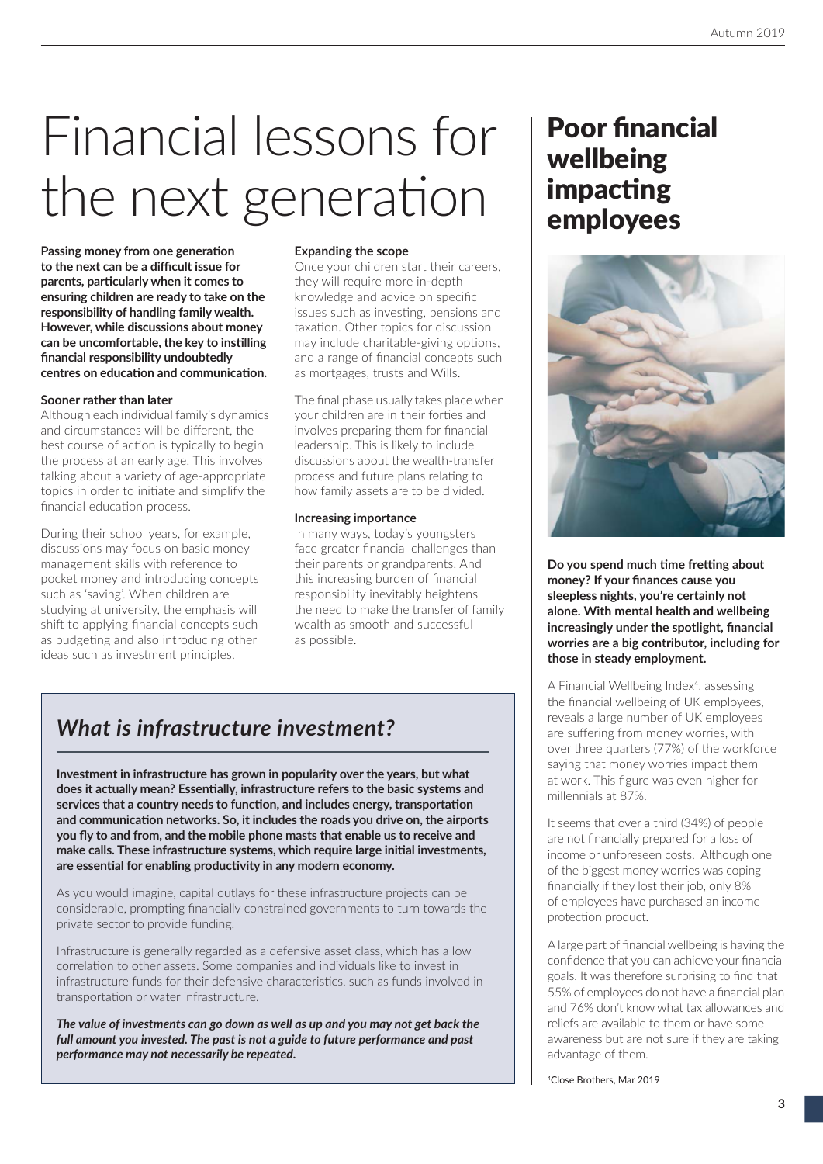# Financial lessons for the next generation

**Passing money from one generation to the next can be a difficult issue for parents, particularly when it comes to ensuring children are ready to take on the responsibility of handling family wealth. However, while discussions about money can be uncomfortable, the key to instilling financial responsibility undoubtedly centres on education and communication.**

#### **Sooner rather than later**

Although each individual family's dynamics and circumstances will be different, the best course of action is typically to begin the process at an early age. This involves talking about a variety of age-appropriate topics in order to initiate and simplify the financial education process.

During their school years, for example, discussions may focus on basic money management skills with reference to pocket money and introducing concepts such as 'saving'. When children are studying at university, the emphasis will shift to applying financial concepts such as budgeting and also introducing other ideas such as investment principles.

#### **Expanding the scope**

Once your children start their careers, they will require more in-depth knowledge and advice on specific issues such as investing, pensions and taxation. Other topics for discussion may include charitable-giving options, and a range of financial concepts such as mortgages, trusts and Wills.

The final phase usually takes place when your children are in their forties and involves preparing them for financial leadership. This is likely to include discussions about the wealth-transfer process and future plans relating to how family assets are to be divided.

#### **Increasing importance**

In many ways, today's youngsters face greater financial challenges than their parents or grandparents. And this increasing burden of financial responsibility inevitably heightens the need to make the transfer of family wealth as smooth and successful as possible.

### *What is infrastructure investment?*

**Investment in infrastructure has grown in popularity over the years, but what does it actually mean? Essentially, infrastructure refers to the basic systems and services that a country needs to function, and includes energy, transportation and communication networks. So, it includes the roads you drive on, the airports you fly to and from, and the mobile phone masts that enable us to receive and make calls. These infrastructure systems, which require large initial investments, are essential for enabling productivity in any modern economy.**

As you would imagine, capital outlays for these infrastructure projects can be considerable, prompting financially constrained governments to turn towards the private sector to provide funding.

Infrastructure is generally regarded as a defensive asset class, which has a low correlation to other assets. Some companies and individuals like to invest in infrastructure funds for their defensive characteristics, such as funds involved in transportation or water infrastructure.

*The value of investments can go down as well as up and you may not get back the full amount you invested. The past is not a guide to future performance and past performance may not necessarily be repeated.*

## Poor financial wellbeing impacting employees



**Do you spend much time fretting about money? If your finances cause you sleepless nights, you're certainly not alone. With mental health and wellbeing increasingly under the spotlight, financial worries are a big contributor, including for those in steady employment.**

A Financial Wellbeing Index<sup>4</sup>, assessing the financial wellbeing of UK employees, reveals a large number of UK employees are suffering from money worries, with over three quarters (77%) of the workforce saying that money worries impact them at work. This figure was even higher for millennials at 87%.

It seems that over a third (34%) of people are not financially prepared for a loss of income or unforeseen costs. Although one of the biggest money worries was coping financially if they lost their job, only 8% of employees have purchased an income protection product.

A large part of financial wellbeing is having the confidence that you can achieve your financial goals. It was therefore surprising to find that 55% of employees do not have a financial plan and 76% don't know what tax allowances and reliefs are available to them or have some awareness but are not sure if they are taking advantage of them.

4Close Brothers, Mar 2019